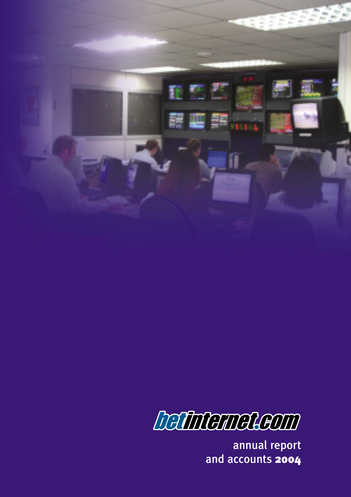



annual report and accounts 2004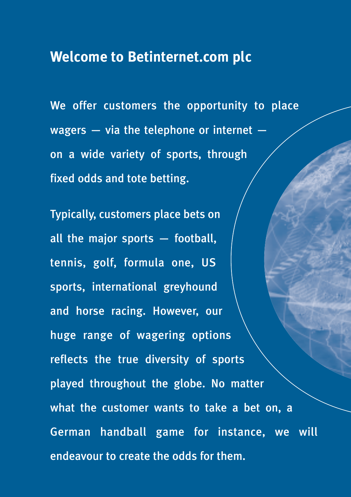## **Welcome to Betinternet.com plc**

We offer customers the opportunity to place wagers — via the telephone or internet on a wide variety of sports, through fixed odds and tote betting.

Typically, customers place bets on all the major sports — football, tennis, golf, formula one, US sports, international greyhound and horse racing. However, our huge range of wagering options reflects the true diversity of sports played throughout the globe. No matter what the customer wants to take a bet on, a German handball game for instance, we will endeavour to create the odds for them.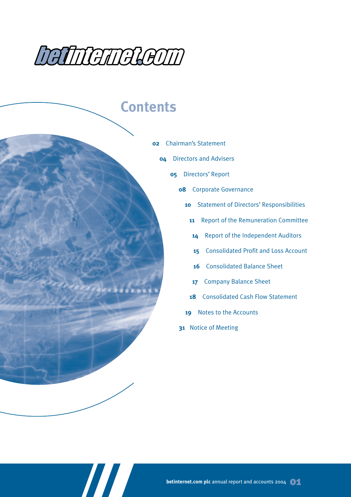

**///** 

## **Contents**

- Chairman's Statement
	- Directors and Advisers
		- Directors' Report
			- Corporate Governance
				- Statement of Directors' Responsibilities
					- Report of the Remuneration Committee
					- Report of the Independent Auditors
					- Consolidated Profit and Loss Account
					- Consolidated Balance Sheet
					- Company Balance Sheet
					- Consolidated Cash Flow Statement
				- Notes to the Accounts
			- Notice of Meeting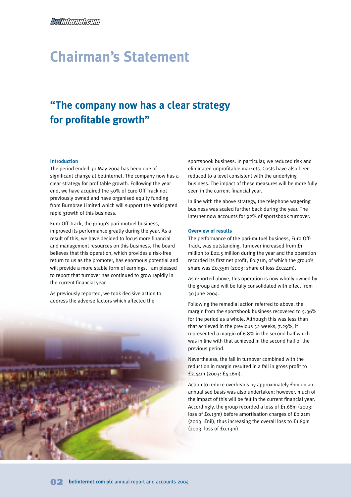# **Chairman's Statement**

## **"The company now has a clear strategy for profitable growth"**

## **Introduction**

The period ended 30 May 2004 has been one of significant change at betinternet. The company now has a clear strategy for profitable growth. Following the year end, we have acquired the 50% of Euro Off Track not previously owned and have organised equity funding from Burnbrae Limited which will support the anticipated rapid growth of this business.

Euro Off-Track, the group's pari-mutuel business, improved its performance greatly during the year. As a result of this, we have decided to focus more financial and management resources on this business. The board believes that this operation, which provides a risk-free return to us as the promoter, has enormous potential and will provide a more stable form of earnings. I am pleased to report that turnover has continued to grow rapidly in the current financial year.

As previously reported, we took decisive action to address the adverse factors which affected the



sportsbook business. In particular, we reduced risk and eliminated unprofitable markets. Costs have also been reduced to a level consistent with the underlying business. The impact of these measures will be more fully seen in the current financial year.

In line with the above strategy, the telephone wagering business was scaled further back during the year. The Internet now accounts for 92% of sportsbook turnover.

## **Overview of results**

The performance of the pari-mutuel business, Euro Off-Track, was outstanding. Turnover increased from £1 million to £22.5 million during the year and the operation recorded its first net profit, £0.71m, of which the group's share was £0.35m (2003: share of loss £0.24m).

As reported above, this operation is now wholly owned by the group and will be fully consolidated with effect from 30 June 2004.

Following the remedial action referred to above, the margin from the sportsbook business recovered to 5.36% for the period as a whole. Although this was less than that achieved in the previous 52 weeks, 7.29%, it represented a margin of 6.8% in the second half which was in line with that achieved in the second half of the previous period.

Nevertheless, the fall in turnover combined with the reduction in margin resulted in a fall in gross profit to £2.44m (2003: £4.16m).

Action to reduce overheads by approximately £1m on an annualised basis was also undertaken; however, much of the impact of this will be felt in the current financial year. Accordingly, the group recorded a loss of £1.68m (2003: loss of £0.13m) before amortisation charges of £0.21m (2003: £nil), thus increasing the overall loss to £1.89m (2003: loss of £0.13m).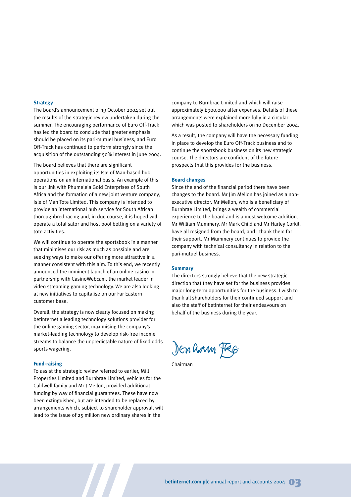## **Strategy**

The board's announcement of 19 October 2004 set out the results of the strategic review undertaken during the summer. The encouraging performance of Euro Off-Track has led the board to conclude that greater emphasis should be placed on its pari-mutuel business, and Euro Off-Track has continued to perform strongly since the acquisition of the outstanding 50% interest in June 2004.

The board believes that there are significant opportunities in exploiting its Isle of Man-based hub operations on an international basis. An example of this is our link with Phumelela Gold Enterprises of South Africa and the formation of a new joint venture company, Isle of Man Tote Limited. This company is intended to provide an international hub service for South African thoroughbred racing and, in due course, it is hoped will operate a totalisator and host pool betting on a variety of tote activities.

We will continue to operate the sportsbook in a manner that minimises our risk as much as possible and are seeking ways to make our offering more attractive in a manner consistent with this aim. To this end, we recently announced the imminent launch of an online casino in partnership with CasinoWebcam, the market leader in video streaming gaming technology. We are also looking at new initiatives to capitalise on our Far Eastern customer base.

Overall, the strategy is now clearly focused on making betinternet a leading technology solutions provider for the online gaming sector, maximising the company's market-leading technology to develop risk-free income streams to balance the unpredictable nature of fixed odds sports wagering.

## **Fund-raising**

To assist the strategic review referred to earlier, Mill Properties Limited and Burnbrae Limited, vehicles for the Caldwell family and Mr J Mellon, provided additional funding by way of financial guarantees. These have now been extinguished, but are intended to be replaced by arrangements which, subject to shareholder approval, will lead to the issue of 25 million new ordinary shares in the

company to Burnbrae Limited and which will raise approximately £900,000 after expenses. Details of these arrangements were explained more fully in a circular which was posted to shareholders on 10 December 2004.

As a result, the company will have the necessary funding in place to develop the Euro Off-Track business and to continue the sportsbook business on its new strategic course. The directors are confident of the future prospects that this provides for the business.

#### **Board changes**

Since the end of the financial period there have been changes to the board. Mr Jim Mellon has joined as a nonexecutive director. Mr Mellon, who is a beneficiary of Burnbrae Limited, brings a wealth of commercial experience to the board and is a most welcome addition. Mr William Mummery, Mr Mark Child and Mr Harley Corkill have all resigned from the board, and I thank them for their support. Mr Mummery continues to provide the company with technical consultancy in relation to the pari-mutuel business.

## **Summary**

The directors strongly believe that the new strategic direction that they have set for the business provides major long-term opportunities for the business. I wish to thank all shareholders for their continued support and also the staff of betinternet for their endeavours on behalf of the business during the year.

**Denham Eke**

Chairman

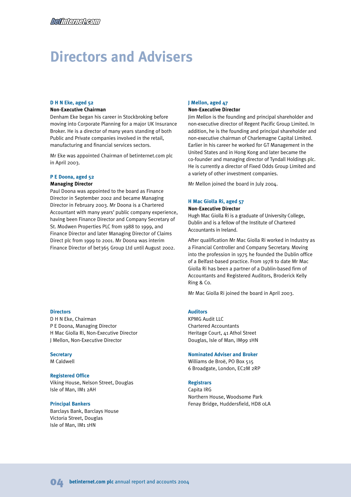# **Directors and Advisers**

## **D H N Eke, aged 52**

## **Non-Executive Chairman**

Denham Eke began his career in Stockbroking before moving into Corporate Planning for a major UK Insurance Broker. He is a director of many years standing of both Public and Private companies involved in the retail, manufacturing and financial services sectors.

Mr Eke was appointed Chairman of betinternet.com plc in April 2003.

## **P E Doona, aged 52**

## **Managing Director**

Paul Doona was appointed to the board as Finance Director in September 2002 and became Managing Director in February 2003. Mr Doona is a Chartered Accountant with many years' public company experience, having been Finance Director and Company Secretary of St. Modwen Properties PLC from 1988 to 1999, and Finance Director and later Managing Director of Claims Direct plc from 1999 to 2001. Mr Doona was interim Finance Director of bet365 Group Ltd until August 2002.

### **Directors**

D H N Eke, Chairman P E Doona, Managing Director H Mac Giolla Ri, Non-Executive Director J Mellon, Non-Executive Director

## **Secretary**

M Caldwell

### **Registered Office**

Viking House, Nelson Street, Douglas Isle of Man, IM1 2AH

## **Principal Bankers**

Barclays Bank, Barclays House Victoria Street, Douglas Isle of Man, IM1 1HN

## **J** Mellon, aged  $47$ **Non-Executive Director**

Jim Mellon is the founding and principal shareholder and non-executive director of Regent Pacific Group Limited. In addition, he is the founding and principal shareholder and non-executive chairman of Charlemagne Capital Limited. Earlier in his career he worked for GT Management in the United States and in Hong Kong and later became the co-founder and managing director of Tyndall Holdings plc. He is currently a director of Fixed Odds Group Limited and a variety of other investment companies.

Mr Mellon joined the board in July 2004.

## **H Mac Giolla Ri, aged 57**

## **Non-Executive Director**

Hugh Mac Giolla Ri is a graduate of University College, Dublin and is a fellow of the Institute of Chartered Accountants in Ireland.

After qualification Mr Mac Giolla Ri worked in Industry as a Financial Controller and Company Secretary. Moving into the profession in 1975 he founded the Dublin office of a Belfast-based practice. From 1978 to date Mr Mac Giolla Ri has been a partner of a Dublin-based firm of Accountants and Registered Auditors, Broderick Kelly Ring & Co.

Mr Mac Giolla Ri joined the board in April 2003.

## **Auditors**

KPMG Audit LLC Chartered Accountants Heritage Court, 41 Athol Street Douglas, Isle of Man, IM99 1HN

### **Nominated Adviser and Broker**

Williams de Broë, PO Box 515 6 Broadgate, London, EC2M 2RP

## **Registrars**

Capita IRG Northern House, Woodsome Park Fenay Bridge, Huddersfield, HD8 0LA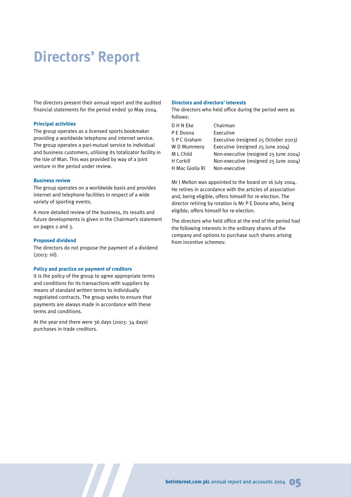# **Directors' Report**

financial statements for the period ended 30 May 2004.

## **Principal activities**

## **Business review**

## **Proposed dividend**

## **Policy and practice on payment of creditors**

### **Directors and directors' interests**

| The directors present their annual report and the audited<br>financial statements for the period ended 30 May 2004.                                                                                                                                                                                                                                                 | <b>Directors and directors' interests</b><br>follows:                                              | The directors who held office during the period were as                                                                                                                                                                                      |
|---------------------------------------------------------------------------------------------------------------------------------------------------------------------------------------------------------------------------------------------------------------------------------------------------------------------------------------------------------------------|----------------------------------------------------------------------------------------------------|----------------------------------------------------------------------------------------------------------------------------------------------------------------------------------------------------------------------------------------------|
| <b>Principal activities</b><br>The group operates as a licensed sports bookmaker<br>providing a worldwide telephone and internet service.<br>The group operates a pari-mutuel service to individual<br>and business customers, utilising its totalizator facility in<br>the Isle of Man. This was provided by way of a joint<br>venture in the period under review. | D H N Eke<br>P E Doona<br>S P C Graham<br>W D Mummery<br>M L Child<br>H Corkill<br>H Mac Giolla Ri | Chairman<br>Executive<br>Executive (resigned 25 October 2003)<br>Executive (resigned 25 June 2004)<br>Non-executive (resigned 25 June 2004)<br>Non-executive (resigned 25 June 2004)<br>Non-executive                                        |
| <b>Business review</b><br>The group operates on a worldwide basis and provides<br>internet and telephone facilities in respect of a wide<br>variety of sporting events.                                                                                                                                                                                             |                                                                                                    | Mr J Mellon was appointed to the board on 16 July 2004.<br>He retires in accordance with the articles of association<br>and, being eligible, offers himself for re-election. The<br>director retiring by rotation is Mr P E Doona who, being |
| A more detailed review of the business, its results and<br>future developments is given in the Chairman's statement<br>on pages 2 and 3.<br><b>Proposed dividend</b><br>The directors do not propose the payment of a dividend<br>(2003: nil).                                                                                                                      | from incentive schemes:                                                                            | eligible, offers himself for re-election.<br>The directors who held office at the end of the period had<br>the following interests in the ordinary shares of the<br>company and options to purchase such shares arising                      |
| <b>Policy and practice on payment of creditors</b><br>It is the policy of the group to agree appropriate terms<br>and conditions for its transactions with suppliers by<br>means of standard written terms to individually<br>negotiated contracts. The group seeks to ensure that<br>payments are always made in accordance with these<br>terms and conditions.    |                                                                                                    |                                                                                                                                                                                                                                              |
| At the year end there were 36 days (2003: 34 days)<br>purchases in trade creditors.                                                                                                                                                                                                                                                                                 |                                                                                                    |                                                                                                                                                                                                                                              |
|                                                                                                                                                                                                                                                                                                                                                                     |                                                                                                    |                                                                                                                                                                                                                                              |
|                                                                                                                                                                                                                                                                                                                                                                     |                                                                                                    |                                                                                                                                                                                                                                              |
| THE R                                                                                                                                                                                                                                                                                                                                                               |                                                                                                    | betinternet.com plc annual report and accounts 2004 05                                                                                                                                                                                       |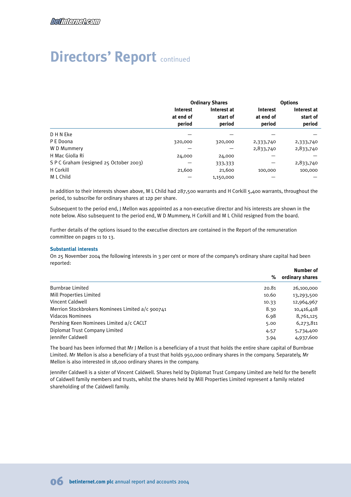## **Directors' Report continued**

|                                       | <b>Ordinary Shares</b>                 |                                   | <b>Options</b>                         |                                   |
|---------------------------------------|----------------------------------------|-----------------------------------|----------------------------------------|-----------------------------------|
|                                       | <b>Interest</b><br>at end of<br>period | Interest at<br>start of<br>period | <b>Interest</b><br>at end of<br>period | Interest at<br>start of<br>period |
| D H N Eke                             |                                        |                                   |                                        |                                   |
| P E Doona                             | 320,000                                | 320,000                           | 2,333,740                              | 2,333,740                         |
| W D Mummery                           |                                        |                                   | 2,833,740                              | 2,833,740                         |
| H Mac Giolla Ri                       | 24,000                                 | 24,000                            |                                        |                                   |
| SPC Graham (resigned 25 October 2003) |                                        | 333,333                           |                                        | 2,833,740                         |
| H Corkill                             | 21,600                                 | 21,600                            | 100,000                                | 100,000                           |
| M L Child                             |                                        | 1,150,000                         |                                        |                                   |

In addition to their interests shown above, M L Child had 287,500 warrants and H Corkill 5,400 warrants, throughout the period, to subscribe for ordinary shares at 12p per share.

Subsequent to the period end, J Mellon was appointed as a non-executive director and his interests are shown in the note below. Also subsequent to the period end, W D Mummery, H Corkill and M L Child resigned from the board.

Further details of the options issued to the executive directors are contained in the Report of the remuneration committee on pages 11 to 13.

## **Substantial interests**

On 25 November 2004 the following interests in 3 per cent or more of the company's ordinary share capital had been reported: **Number of**

|                                                  |       | Number of       |
|--------------------------------------------------|-------|-----------------|
|                                                  | %     | ordinary shares |
| <b>Burnbrae Limited</b>                          | 20.81 | 26,100,000      |
| Mill Properties Limited                          | 10.60 | 13,293,500      |
| Vincent Caldwell                                 | 10.33 | 12,964,967      |
| Merrion Stockbrokers Nominees Limited a/c 900741 | 8.30  | 10,416,418      |
| <b>Vidacos Nominees</b>                          | 6.98  | 8,761,125       |
| Pershing Keen Nominees Limited a/c CACLT         | 5.00  | 6,273,811       |
| Diplomat Trust Company Limited                   | 4.57  | 5,734,400       |
| Jennifer Caldwell                                | 3.94  | 4,937,600       |
|                                                  |       |                 |

The board has been informed that Mr J Mellon is a beneficiary of a trust that holds the entire share capital of Burnbrae Limited. Mr Mellon is also a beneficiary of a trust that holds 950,000 ordinary shares in the company. Separately, Mr Mellon is also interested in 18,000 ordinary shares in the company.

Jennifer Caldwell is a sister of Vincent Caldwell. Shares held by Diplomat Trust Company Limited are held for the benefit of Caldwell family members and trusts, whilst the shares held by Mill Properties Limited represent a family related shareholding of the Caldwell family.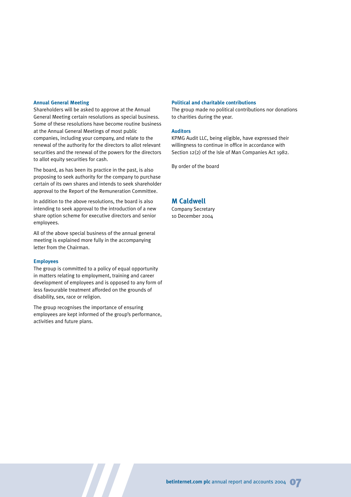## **Annual General Meeting**

Shareholders will be asked to approve at the Annual General Meeting certain resolutions as special business. Some of these resolutions have become routine business at the Annual General Meetings of most public companies, including your company, and relate to the renewal of the authority for the directors to allot relevant securities and the renewal of the powers for the directors to allot equity securities for cash.

The board, as has been its practice in the past, is also proposing to seek authority for the company to purchase certain of its own shares and intends to seek shareholder approval to the Report of the Remuneration Committee.

In addition to the above resolutions, the board is also intending to seek approval to the introduction of a new share option scheme for executive directors and senior employees.

All of the above special business of the annual general meeting is explained more fully in the accompanying letter from the Chairman.

## **Employees**

The group is committed to a policy of equal opportunity in matters relating to employment, training and career development of employees and is opposed to any form of less favourable treatment afforded on the grounds of disability, sex, race or religion.

The group recognises the importance of ensuring employees are kept informed of the group's performance, activities and future plans.

## **Political and charitable contributions**

The group made no political contributions nor donations to charities during the year.

#### **Auditors**

KPMG Audit LLC, being eligible, have expressed their willingness to continue in office in accordance with Section 12(2) of the Isle of Man Companies Act 1982.

By order of the board

## **M Caldwell**

Company Secretary 10 December 2004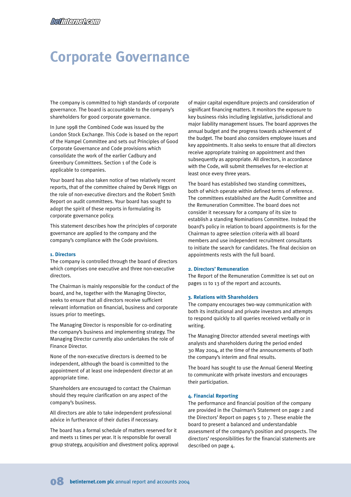## **Corporate Governance**

The company is committed to high standards of corporate governance. The board is accountable to the company's shareholders for good corporate governance.

In June 1998 the Combined Code was issued by the London Stock Exchange. This Code is based on the report of the Hampel Committee and sets out Principles of Good Corporate Governance and Code provisions which consolidate the work of the earlier Cadbury and Greenbury Committees. Section 1 of the Code is applicable to companies.

Your board has also taken notice of two relatively recent reports, that of the committee chaired by Derek Higgs on the role of non-executive directors and the Robert Smith Report on audit committees. Your board has sought to adopt the spirit of these reports in formulating its corporate governance policy.

This statement describes how the principles of corporate governance are applied to the company and the company's compliance with the Code provisions.

### **1. Directors**

The company is controlled through the board of directors which comprises one executive and three non-executive directors.

The Chairman is mainly responsible for the conduct of the board, and he, together with the Managing Director, seeks to ensure that all directors receive sufficient relevant information on financial, business and corporate issues prior to meetings.

The Managing Director is responsible for co-ordinating the company's business and implementing strategy. The Managing Director currently also undertakes the role of Finance Director.

None of the non-executive directors is deemed to be independent, although the board is committed to the appointment of at least one independent director at an appropriate time.

Shareholders are encouraged to contact the Chairman should they require clarification on any aspect of the company's business.

All directors are able to take independent professional advice in furtherance of their duties if necessary.

The board has a formal schedule of matters reserved for it and meets 11 times per year. It is responsible for overall group strategy, acquisition and divestment policy, approval

of major capital expenditure projects and consideration of significant financing matters. It monitors the exposure to key business risks including legislative, jurisdictional and major liability management issues. The board approves the annual budget and the progress towards achievement of the budget. The board also considers employee issues and key appointments. It also seeks to ensure that all directors receive appropriate training on appointment and then subsequently as appropriate. All directors, in accordance with the Code, will submit themselves for re-election at least once every three years.

The board has established two standing committees, both of which operate within defined terms of reference. The committees established are the Audit Committee and the Remuneration Committee. The board does not consider it necessary for a company of its size to establish a standing Nominations Committee. Instead the board's policy in relation to board appointments is for the Chairman to agree selection criteria with all board members and use independent recruitment consultants to initiate the search for candidates. The final decision on appointments rests with the full board.

## **2. Directors' Remuneration**

The Report of the Remuneration Committee is set out on pages 11 to 13 of the report and accounts.

## **3. Relations with Shareholders**

The company encourages two-way communication with both its institutional and private investors and attempts to respond quickly to all queries received verbally or in writing.

The Managing Director attended several meetings with analysts and shareholders during the period ended 30 May 2004, at the time of the announcements of both the company's interim and final results.

The board has sought to use the Annual General Meeting to communicate with private investors and encourages their participation.

## **4. Financial Reporting**

The performance and financial position of the company are provided in the Chairman's Statement on page 2 and the Directors' Report on pages 5 to 7. These enable the board to present a balanced and understandable assessment of the company's position and prospects. The directors' responsibilities for the financial statements are described on page 4.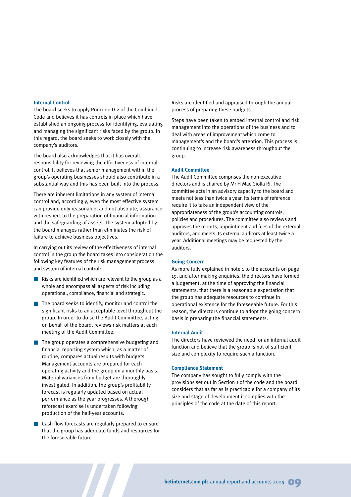## **Internal Control**

The board seeks to apply Principle D.2 of the Combined Code and believes it has controls in place which have established an ongoing process for identifying, evaluating and managing the significant risks faced by the group. In this regard, the board seeks to work closely with the company's auditors.

The board also acknowledges that it has overall responsibility for reviewing the effectiveness of internal control. It believes that senior management within the group's operating businesses should also contribute in a substantial way and this has been built into the process.

There are inherent limitations in any system of internal control and, accordingly, even the most effective system can provide only reasonable, and not absolute, assurance with respect to the preparation of financial information and the safeguarding of assets. The system adopted by the board manages rather than eliminates the risk of failure to achieve business objectives.

In carrying out its review of the effectiveness of internal control in the group the board takes into consideration the following key features of the risk management process and system of internal control:

- Risks are identified which are relevant to the group as a whole and encompass all aspects of risk including operational, compliance, financial and strategic.
- The board seeks to identify, monitor and control the significant risks to an acceptable level throughout the group. In order to do so the Audit Committee, acting on behalf of the board, reviews risk matters at each meeting of the Audit Committee.
- The group operates a comprehensive budgeting and financial reporting system which, as a matter of routine, compares actual results with budgets. Management accounts are prepared for each operating activity and the group on a monthly basis. Material variances from budget are thoroughly investigated. In addition, the group's profitability forecast is regularly updated based on actual performance as the year progresses. A thorough reforecast exercise is undertaken following production of the half-year accounts.
- Cash flow forecasts are regularly prepared to ensure that the group has adequate funds and resources for the foreseeable future.

Risks are identified and appraised through the annual process of preparing these budgets.

Steps have been taken to embed internal control and risk management into the operations of the business and to deal with areas of improvement which come to management's and the board's attention. This process is continuing to increase risk awareness throughout the group.

#### **Audit Committee**

The Audit Committee comprises the non-executive directors and is chaired by Mr H Mac Giolla Ri. The committee acts in an advisory capacity to the board and meets not less than twice a year. Its terms of reference require it to take an independent view of the appropriateness of the group's accounting controls, policies and procedures. The committee also reviews and approves the reports, appointment and fees of the external auditors, and meets its external auditors at least twice a year. Additional meetings may be requested by the auditors.

## **Going Concern**

As more fully explained in note 1 to the accounts on page 19, and after making enquiries, the directors have formed a judgement, at the time of approving the financial statements, that there is a reasonable expectation that the group has adequate resources to continue in operational existence for the foreseeable future. For this reason, the directors continue to adopt the going concern basis in preparing the financial statements.

## **Internal Audit**

The directors have reviewed the need for an internal audit function and believe that the group is not of sufficient size and complexity to require such a function.

## **Compliance Statement**

The company has sought to fully comply with the provisions set out in Section 1 of the code and the board considers that as far as is practicable for a company of its size and stage of development it complies with the principles of the code at the date of this report.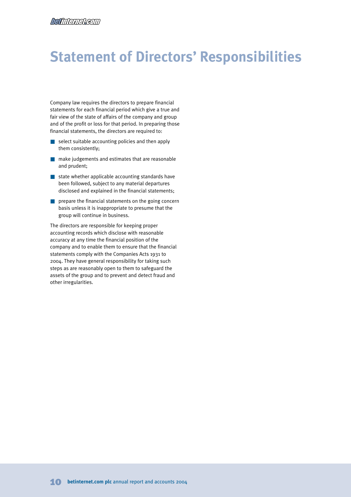# **Statement of Directors' Responsibilities**

Company law requires the directors to prepare financial statements for each financial period which give a true and fair view of the state of affairs of the company and group and of the profit or loss for that period. In preparing those financial statements, the directors are required to:

- select suitable accounting policies and then apply them consistently;
- make judgements and estimates that are reasonable and prudent;
- state whether applicable accounting standards have been followed, subject to any material departures disclosed and explained in the financial statements;
- prepare the financial statements on the going concern basis unless it is inappropriate to presume that the group will continue in business.

The directors are responsible for keeping proper accounting records which disclose with reasonable accuracy at any time the financial position of the company and to enable them to ensure that the financial statements comply with the Companies Acts 1931 to 2004. They have general responsibility for taking such steps as are reasonably open to them to safeguard the assets of the group and to prevent and detect fraud and other irregularities.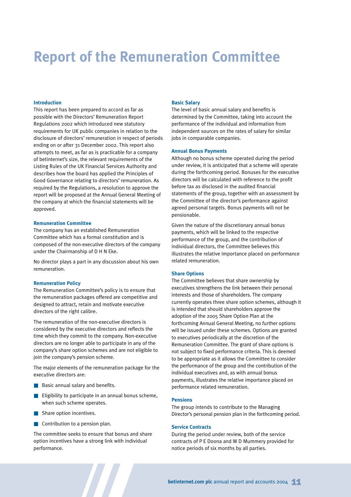# **Report of the Remuneration Committee**

## **Introduction**

This report has been prepared to accord as far as possible with the Directors' Remuneration Report Regulations 2002 which introduced new statutory requirements for UK public companies in relation to the disclosure of directors' remuneration in respect of periods ending on or after 31 December 2002. This report also attempts to meet, as far as is practicable for a company of betinternet's size, the relevant requirements of the Listing Rules of the UK Financial Services Authority and describes how the board has applied the Principles of Good Governance relating to directors' remuneration. As required by the Regulations, a resolution to approve the report will be proposed at the Annual General Meeting of the company at which the financial statements will be approved.

## **Remuneration Committee**

The company has an established Remuneration Committee which has a formal constitution and is composed of the non-executive directors of the company under the Chairmanship of D H N Eke.

No director plays a part in any discussion about his own remuneration.

## **Remuneration Policy**

The Remuneration Committee's policy is to ensure that the remuneration packages offered are competitive and designed to attract, retain and motivate executive directors of the right calibre.

The remuneration of the non-executive directors is considered by the executive directors and reflects the time which they commit to the company. Non-executive directors are no longer able to participate in any of the company's share option schemes and are not eligible to join the company's pension scheme.

The major elements of the remuneration package for the executive directors are:

- Basic annual salary and benefits.
- Eligibility to participate in an annual bonus scheme, when such scheme operates.
- Share option incentives.
- Contribution to a pension plan.

The committee seeks to ensure that bonus and share option incentives have a strong link with individual performance.

## **Basic Salary**

The level of basic annual salary and benefits is determined by the Committee, taking into account the performance of the individual and information from independent sources on the rates of salary for similar jobs in comparable companies.

## **Annual Bonus Payments**

Although no bonus scheme operated during the period under review, it is anticipated that a scheme will operate during the forthcoming period. Bonuses for the executive directors will be calculated with reference to the profit before tax as disclosed in the audited financial statements of the group, together with an assessment by the Committee of the director's performance against agreed personal targets. Bonus payments will not be pensionable.

Given the nature of the discretionary annual bonus payments, which will be linked to the respective performance of the group, and the contribution of individual directors, the Committee believes this illustrates the relative importance placed on performance related remuneration.

## **Share Options**

The Committee believes that share ownership by executives strengthens the link between their personal interests and those of shareholders. The company currently operates three share option schemes, although it is intended that should shareholders approve the adoption of the 2005 Share Option Plan at the forthcoming Annual General Meeting, no further options will be issued under these schemes. Options are granted to executives periodically at the discretion of the Remuneration Committee. The grant of share options is not subject to fixed performance criteria. This is deemed to be appropriate as it allows the Committee to consider the performance of the group and the contribution of the individual executives and, as with annual bonus payments, illustrates the relative importance placed on performance related remuneration.

#### **Pensions**

The group intends to contribute to the Managing Director's personal pension plan in the forthcoming period.

### **Service Contracts**

During the period under review, both of the service contracts of P E Doona and W D Mummery provided for notice periods of six months by all parties.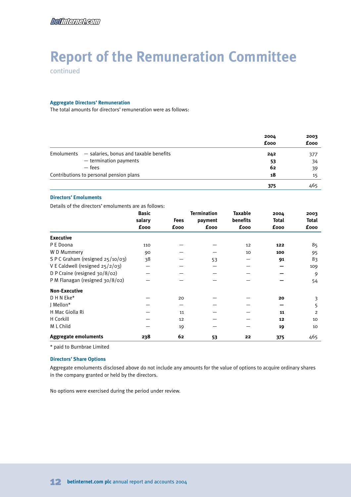# **Report of the Remuneration Committee**

continued

## **Aggregate Directors' Remuneration**

The total amounts for directors' remuneration were as follows:

|                                                      | 2004<br><b>fooo</b> | 2003<br><b>fooo</b> |
|------------------------------------------------------|---------------------|---------------------|
| - salaries, bonus and taxable benefits<br>Emoluments | 242                 | 377                 |
| $-$ termination payments                             | 53                  | 34                  |
| $-$ fees                                             | 62                  | 39                  |
| Contributions to personal pension plans              | 18                  | 15                  |
|                                                      | 375                 | 465                 |

## **Directors' Emoluments**

Details of the directors' emoluments are as follows:

|                                     | <b>Basic</b> | <b>Termination</b> |         | <b>Taxable</b> | 2004         |                |
|-------------------------------------|--------------|--------------------|---------|----------------|--------------|----------------|
|                                     | salary       | <b>Fees</b>        | payment | benefits       | <b>Total</b> | <b>Total</b>   |
|                                     | £000         | £000               | £000    | £000           | <b>fooo</b>  | <b>fooo</b>    |
| <b>Executive</b>                    |              |                    |         |                |              |                |
| P E Doona                           | 110          |                    |         | 12             | 122          | 85             |
| W D Mummery                         | 90           |                    |         | 10             | 100          | 95             |
| S P C Graham (resigned $25/10/03$ ) | 38           |                    | 53      |                | 91           | 83             |
| V E Caldwell (resigned 25/2/03)     |              |                    |         |                |              | 109            |
| D P Craine (resigned 30/8/02)       |              |                    |         |                |              | 9              |
| P M Flanagan (resigned 30/8/02)     |              |                    |         |                |              | 54             |
| <b>Non-Executive</b>                |              |                    |         |                |              |                |
| DHNEke*                             |              | 20                 |         |                | 20           | 3              |
| J Mellon*                           |              |                    |         |                |              | 5              |
| H Mac Giolla Ri                     |              | 11                 |         |                | 11           | $\overline{2}$ |
| H Corkill                           |              | 12                 |         |                | 12           | 10             |
| M L Child                           |              | 19                 |         |                | 19           | 10             |
| <b>Aggregate emoluments</b>         | 238          | 62                 | 53      | 22             | 375          | 465            |

\* paid to Burnbrae Limited

## **Directors' Share Options**

Aggregate emoluments disclosed above do not include any amounts for the value of options to acquire ordinary shares in the company granted or held by the directors.

No options were exercised during the period under review.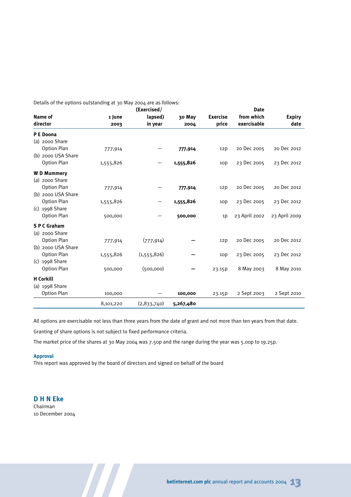Details of the options outstanding at 30 May 2004 are as follows:

|                    |           | (Exercised/   |           |                 | <b>Date</b>   |               |
|--------------------|-----------|---------------|-----------|-----------------|---------------|---------------|
| Name of            | 1 June    | lapsed)       | 30 May    | <b>Exercise</b> | from which    | <b>Expiry</b> |
| director           | 2003      | in year       | 2004      | price           | exercisable   | date          |
| P E Doona          |           |               |           |                 |               |               |
| (a) 2000 Share     |           |               |           |                 |               |               |
| Option Plan        | 777,914   |               | 777,914   | 12p             | 20 Dec 2005   | 20 Dec 2012   |
| (b) 2000 USA Share |           |               |           |                 |               |               |
| Option Plan        | 1,555,826 |               | 1,555,826 | 10 <sub>p</sub> | 23 Dec 2005   | 23 Dec 2012   |
| <b>WD Mummery</b>  |           |               |           |                 |               |               |
| (a) 2000 Share     |           |               |           |                 |               |               |
| Option Plan        | 777,914   |               | 777,914   | 12p             | 20 Dec 2005   | 20 Dec 2012   |
| (b) 2000 USA Share |           |               |           |                 |               |               |
| Option Plan        | 1,555,826 |               | 1,555,826 | 10p             | 23 Dec 2005   | 23 Dec 2012   |
| $(c)$ 1998 Share   |           |               |           |                 |               |               |
| Option Plan        | 500,000   |               | 500,000   | 1p              | 23 April 2002 | 23 April 2009 |
| <b>SPC</b> Graham  |           |               |           |                 |               |               |
| $(a)$ 2000 Share   |           |               |           |                 |               |               |
| Option Plan        | 777,914   | (777, 914)    |           | 12p             | 20 Dec 2005   | 20 Dec 2012   |
| (b) 2000 USA Share |           |               |           |                 |               |               |
| Option Plan        | 1,555,826 | (1, 555, 826) |           | 10p             | 23 Dec 2005   | 23 Dec 2012   |
| $(c)$ 1998 Share   |           |               |           |                 |               |               |
| Option Plan        | 500,000   | (500,000)     |           | 23.15P          | 8 May 2003    | 8 May 2010    |
| <b>H</b> Corkill   |           |               |           |                 |               |               |
| $(a)$ 1998 Share   |           |               |           |                 |               |               |
| Option Plan        | 100,000   |               | 100,000   | 23.15P          | 2 Sept 2003   | 2 Sept 2010   |
|                    | 8,101,220 | (2,833,740)   | 5,267,480 |                 |               |               |

All options are exercisable not less than three years from the date of grant and not more than ten years from that date.

Granting of share options is not subject to fixed performance criteria.

H.

The market price of the shares at 30 May 2004 was 7.50p and the range during the year was 5.00p to 19.25p.

## **Approval**

This report was approved by the board of directors and signed on behalf of the board

**D H N Eke** Chairman 10 December 2004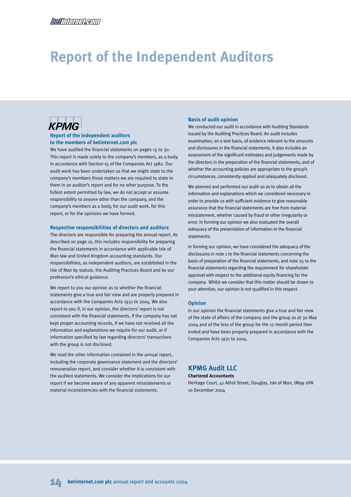# **Report of the Independent Auditors**

# **KPMG**

## **Report of the independent auditors to the members of betinternet.com plc**

We have audited the financial statements on pages 15 to 30. This report is made solely to the company's members, as a body, in accordance with Section 15 of the Companies Act 1982. Our audit work has been undertaken so that we might state to the company's members those matters we are required to state to them in an auditor's report and for no other purpose. To the fullest extent permitted by law, we do not accept or assume responsibility to anyone other than the company, and the company's members as a body, for our audit work, for this report, or for the opinions we have formed.

#### **Respective responsibilities of directors and auditors**

The directors are responsible for preparing the annual report. As described on page 10, this includes responsibility for preparing the financial statements in accordance with applicable Isle of Man law and United Kingdom accounting standards. Our responsibilities, as independent auditors, are established in the Isle of Man by statute, the Auditing Practices Board and by our profession's ethical guidance.

We report to you our opinion as to whether the financial statements give a true and fair view and are properly prepared in accordance with the Companies Acts 1931 to 2004. We also report to you if, in our opinion, the directors' report is not consistent with the financial statements, if the company has not kept proper accounting records, if we have not received all the information and explanations we require for our audit, or if information specified by law regarding directors' transactions with the group is not disclosed.

We read the other information contained in the annual report, including the corporate governance statement and the directors' remuneration report, and consider whether it is consistent with the audited statements. We consider the implications for our report if we become aware of any apparent misstatements or material inconsistencies with the financial statements.

## **Basis of audit opinion**

We conducted our audit in accordance with Auditing Standards issued by the Auditing Practices Board. An audit includes examination, on a test basis, of evidence relevant to the amounts and disclosures in the financial statements. It also includes an assessment of the significant estimates and judgements made by the directors in the preparation of the financial statements, and of whether the accounting policies are appropriate to the group's circumstances, consistently applied and adequately disclosed.

We planned and performed our audit so as to obtain all the information and explanations which we considered necessary in order to provide us with sufficient evidence to give reasonable assurance that the financial statements are free from material misstatement, whether caused by fraud or other irregularity or error. In forming our opinion we also evaluated the overall adequacy of the presentation of information in the financial statements.

In forming our opinion, we have considered the adequacy of the disclosures in note 1 to the financial statements concerning the basis of preparation of the financial statements, and note 25 to the financial statements regarding the requirement for shareholder approval with respect to the additional equity financing for the company. Whilst we consider that this matter should be drawn to your attention, our opinion is not qualified in this respect.

#### **Opinion**

In our opinion the financial statements give a true and fair view of the state of affairs of the company and the group as at 30 May 2004 and of the loss of the group for the 12 month period then ended and have been properly prepared in accordance with the Companies Acts 1931 to 2004.

## **KPMG Audit LLC**

#### **Chartered Accountants**

Heritage Court, 41 Athol Street, Douglas, Isle of Man, IM99 1HN 10 December 2004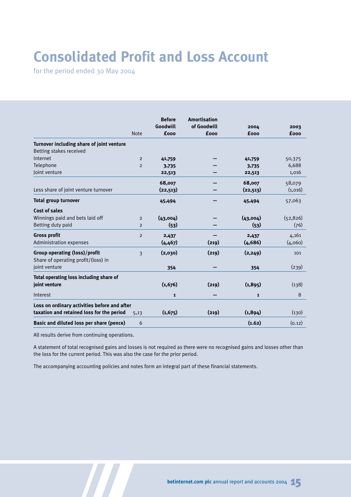# **Consolidated Profit and Loss Account**

for the period ended 30 May 2004

|                                              |                         | <b>Before</b><br>Goodwill | <b>Amortisation</b><br>of Goodwill | 2004        | 2003        |
|----------------------------------------------|-------------------------|---------------------------|------------------------------------|-------------|-------------|
|                                              | <b>Note</b>             | <b>fooo</b>               | <b>fooo</b>                        | <b>fooo</b> | <b>fooo</b> |
| Turnover including share of joint venture    |                         |                           |                                    |             |             |
| Betting stakes received                      |                         |                           |                                    |             |             |
| Internet                                     | $\overline{2}$          | 41,759                    |                                    | 41,759      | 50,375      |
| Telephone                                    | $\overline{2}$          | 3,735                     |                                    | 3,735       | 6,688       |
| Joint venture                                |                         | 22,513                    |                                    | 22,513      | 1,016       |
|                                              |                         | 68,007                    |                                    | 68,007      | 58,079      |
| Less share of joint venture turnover         |                         | (22, 513)                 |                                    | (22, 513)   | (1,016)     |
| Total group turnover                         |                         | 45,494                    |                                    | 45,494      | 57,063      |
| Cost of sales                                |                         |                           |                                    |             |             |
| Winnings paid and bets laid off              | $\overline{2}$          | (43,004)                  |                                    | (43,004)    | (52, 826)   |
| Betting duty paid                            | $\overline{2}$          | (53)                      |                                    | (53)        | (76)        |
| <b>Gross profit</b>                          | $\overline{2}$          | 2,437                     |                                    | 2,437       | 4,161       |
| Administration expenses                      |                         | (4, 467)                  | (219)                              | (4,686)     | (4,060)     |
| Group operating (loss)/profit                | $\overline{\mathbf{3}}$ | (2,030)                   | (219)                              | (2,249)     | 101         |
| Share of operating profit/(loss) in          |                         |                           |                                    |             |             |
| joint venture                                |                         | 354                       |                                    | 354         | (239)       |
| Total operating loss including share of      |                         |                           |                                    |             |             |
| joint venture                                |                         | (1,676)                   | (219)                              | (1, 895)    | (138)       |
| Interest                                     |                         | $\mathbf{1}$              |                                    | 1           | 8           |
| Loss on ordinary activities before and after |                         |                           |                                    |             |             |
| taxation and retained loss for the period    | 5,13                    | (1,675)                   | (219)                              | (1,894)     | (130)       |
| Basic and diluted loss per share (pence)     | 6                       |                           |                                    | (1.62)      | (0.12)      |

All results derive from continuing operations.

7

A statement of total recognised gains and losses is not required as there were no recognised gains and losses other than the loss for the current period. This was also the case for the prior period.

The accompanying accounting policies and notes form an integral part of these financial statements.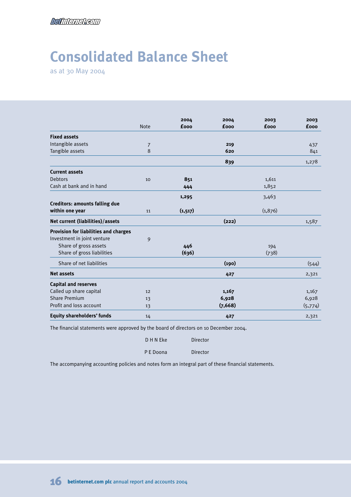# **Consolidated Balance Sheet**

as at 30 May 2004

|                                       | <b>Note</b>    | 2004<br><b>fooo</b> | 2004<br><b>fooo</b> | 2003<br><b>fooo</b> | 2003<br><b>fooo</b> |
|---------------------------------------|----------------|---------------------|---------------------|---------------------|---------------------|
| <b>Fixed assets</b>                   |                |                     |                     |                     |                     |
| Intangible assets                     | $\overline{7}$ |                     | 219                 |                     | 437                 |
| Tangible assets                       | 8              |                     | 620                 |                     | 841                 |
|                                       |                |                     | 839                 |                     | 1,278               |
| <b>Current assets</b>                 |                |                     |                     |                     |                     |
| Debtors                               | 10             | 851                 |                     | 1,611               |                     |
| Cash at bank and in hand              |                | 444                 |                     | 1,852               |                     |
|                                       |                | 1,295               |                     | 3,463               |                     |
| <b>Creditors: amounts falling due</b> |                |                     |                     |                     |                     |
| within one year                       | 11             | (1,517)             |                     | (1, 876)            |                     |
| Net current (liabilities)/assets      |                |                     | (222)               |                     | 1,587               |
| Provision for liabilities and charges |                |                     |                     |                     |                     |
| Investment in joint venture           | 9              |                     |                     |                     |                     |
| Share of gross assets                 |                | 446                 |                     | 194                 |                     |
| Share of gross liabilities            |                | (636)               |                     | (738)               |                     |
| Share of net liabilities              |                |                     | (190)               |                     | (544)               |
| <b>Net assets</b>                     |                |                     | 427                 |                     | 2,321               |
| <b>Capital and reserves</b>           |                |                     |                     |                     |                     |
| Called up share capital               | 12             |                     | 1,167               |                     | 1,167               |
| <b>Share Premium</b>                  | 13             |                     | 6,928               |                     | 6,928               |
| Profit and loss account               | 13             |                     | (7,668)             |                     | (5,774)             |
| <b>Equity shareholders' funds</b>     | 14             |                     | 427                 |                     | 2,321               |

The financial statements were approved by the board of directors on 10 December 2004.

| D H N Fke | <b>Director</b> |
|-----------|-----------------|
| P E Doona | Director        |

The accompanying accounting policies and notes form an integral part of these financial statements.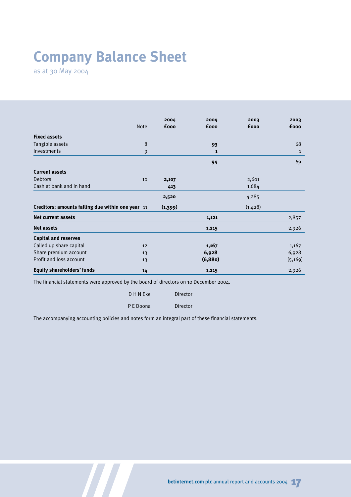# **Company Balance Sheet**

as at 30 May 2004

|                                                   |             | 2004        |              | 2003        |             |
|---------------------------------------------------|-------------|-------------|--------------|-------------|-------------|
|                                                   |             |             | 2004         |             | 2003        |
|                                                   | <b>Note</b> | <b>fooo</b> | <b>fooo</b>  | <b>fooo</b> | <b>fooo</b> |
| <b>Fixed assets</b>                               |             |             |              |             |             |
| Tangible assets                                   | 8           |             | 93           |             | 68          |
| Investments                                       | 9           |             | $\mathbf{1}$ |             | 1           |
|                                                   |             |             | 94           |             | 69          |
| <b>Current assets</b>                             |             |             |              |             |             |
| Debtors                                           | 10          | 2,107       |              | 2,601       |             |
| Cash at bank and in hand                          |             | 413         |              | 1,684       |             |
|                                                   |             | 2,520       |              | 4,285       |             |
| Creditors: amounts falling due within one year 11 |             | (1, 399)    |              | (1,428)     |             |
| <b>Net current assets</b>                         |             |             | 1,121        |             | 2,857       |
| <b>Net assets</b>                                 |             |             | 1,215        |             | 2,926       |
| <b>Capital and reserves</b>                       |             |             |              |             |             |
| Called up share capital                           | 12          |             | 1,167        |             | 1,167       |
| Share premium account                             | 13          |             | 6,928        |             | 6,928       |
| Profit and loss account                           | 13          |             | (6,880)      |             | (5, 169)    |
| <b>Equity shareholders' funds</b>                 | 14          |             | 1,215        |             | 2,926       |

The financial statements were approved by the board of directors on 10 December 2004.

7

D H N Eke Director P E Doona Director

The accompanying accounting policies and notes form an integral part of these financial statements.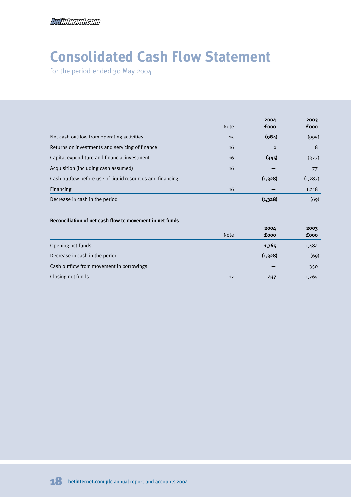# **Consolidated Cash Flow Statement**

for the period ended 30 May 2004

|                                                           |             | 2004        | 2003        |
|-----------------------------------------------------------|-------------|-------------|-------------|
|                                                           | <b>Note</b> | <b>fooo</b> | <b>fooo</b> |
| Net cash outflow from operating activities                | 15          | (984)       | (995)       |
| Returns on investments and servicing of finance           | 16          | 1           | 8           |
| Capital expenditure and financial investment              | 16          | (345)       | (377)       |
| Acquisition (including cash assumed)                      | 16          |             | 77          |
| Cash outflow before use of liquid resources and financing |             | (1,328)     | (1, 287)    |
| Financing                                                 | 16          |             | 1,218       |
| Decrease in cash in the period                            |             | (1,328)     | (69)        |

## **Reconciliation of net cash flow to movement in net funds**

|                                          |             | 2004        | 2003        |  |
|------------------------------------------|-------------|-------------|-------------|--|
|                                          | <b>Note</b> | <b>fooo</b> | <b>fooo</b> |  |
| Opening net funds                        |             | 1,765       | 1,484       |  |
| Decrease in cash in the period           |             | (1,328)     | (69)        |  |
| Cash outflow from movement in borrowings |             |             | 350         |  |
| Closing net funds                        | 17          | 437         | 1,765       |  |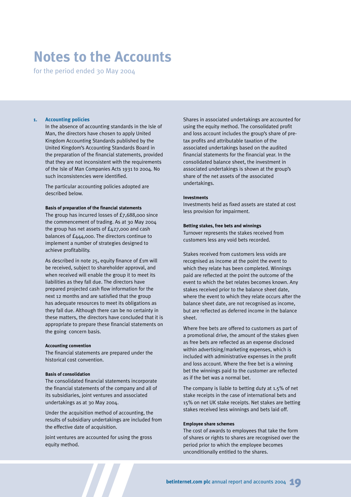# **Notes to the Accounts**

for the period ended 30 May 2004

## **1. Accounting policies**

In the absence of accounting standards in the Isle of Man, the directors have chosen to apply United Kingdom Accounting Standards published by the United Kingdom's Accounting Standards Board in the preparation of the financial statements, provided that they are not inconsistent with the requirements of the Isle of Man Companies Acts 1931 to 2004. No such inconsistencies were identified.

The particular accounting policies adopted are described below.

### **Basis of preparation of the financial statements**

The group has incurred losses of £7,688,000 since the commencement of trading. As at 30 May 2004 the group has net assets of £427,000 and cash balances of £444,000. The directors continue to implement a number of strategies designed to achieve profitability.

As described in note 25, equity finance of £1m will be received, subject to shareholder approval, and when received will enable the group it to meet its liabilities as they fall due. The directors have prepared projected cash flow information for the next 12 months and are satisfied that the group has adequate resources to meet its obligations as they fall due. Although there can be no certainty in these matters, the directors have concluded that it is appropriate to prepare these financial statements on the going concern basis.

#### **Accounting convention**

The financial statements are prepared under the historical cost convention.

#### **Basis of consolidation**

The consolidated financial statements incorporate the financial statements of the company and all of its subsidiaries, joint ventures and associated undertakings as at 30 May 2004.

Under the acquisition method of accounting, the results of subsidiary undertakings are included from the effective date of acquisition.

Joint ventures are accounted for using the gross equity method.

Shares in associated undertakings are accounted for using the equity method. The consolidated profit and loss account includes the group's share of pretax profits and attributable taxation of the associated undertakings based on the audited financial statements for the financial year. In the consolidated balance sheet, the investment in associated undertakings is shown at the group's share of the net assets of the associated undertakings.

## **Investments**

Investments held as fixed assets are stated at cost less provision for impairment.

#### **Betting stakes, free bets and winnings**

Turnover represents the stakes received from customers less any void bets recorded.

Stakes received from customers less voids are recognised as income at the point the event to which they relate has been completed. Winnings paid are reflected at the point the outcome of the event to which the bet relates becomes known. Any stakes received prior to the balance sheet date, where the event to which they relate occurs after the balance sheet date, are not recognised as income, but are reflected as deferred income in the balance sheet.

Where free bets are offered to customers as part of a promotional drive, the amount of the stakes given as free bets are reflected as an expense disclosed within advertising/marketing expenses, which is included with administrative expenses in the profit and loss account. Where the free bet is a winning bet the winnings paid to the customer are reflected as if the bet was a normal bet.

The company is liable to betting duty at 1.5% of net stake receipts in the case of international bets and 15% on net UK stake receipts. Net stakes are betting stakes received less winnings and bets laid off.

#### **Employee share schemes**

The cost of awards to employees that take the form of shares or rights to shares are recognised over the period prior to which the employee becomes unconditionally entitled to the shares.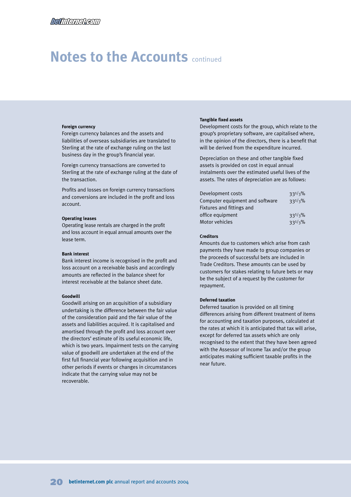## **Notes to the Accounts continued**

### **Foreign currency**

Foreign currency balances and the assets and liabilities of overseas subsidiaries are translated to Sterling at the rate of exchange ruling on the last business day in the group's financial year.

Foreign currency transactions are converted to Sterling at the rate of exchange ruling at the date of the transaction.

Profits and losses on foreign currency transactions and conversions are included in the profit and loss account.

## **Operating leases**

Operating lease rentals are charged in the profit and loss account in equal annual amounts over the lease term.

#### **Bank interest**

Bank interest income is recognised in the profit and loss account on a receivable basis and accordingly amounts are reflected in the balance sheet for interest receivable at the balance sheet date.

#### **Goodwill**

Goodwill arising on an acquisition of a subsidiary undertaking is the difference between the fair value of the consideration paid and the fair value of the assets and liabilities acquired. It is capitalised and amortised through the profit and loss account over the directors' estimate of its useful economic life, which is two years. Impairment tests on the carrying value of goodwill are undertaken at the end of the first full financial year following acquisition and in other periods if events or changes in circumstances indicate that the carrying value may not be recoverable.

### **Tangible fixed assets**

Development costs for the group, which relate to the group's proprietary software, are capitalised where, in the opinion of the directors, there is a benefit that will be derived from the expenditure incurred.

Depreciation on these and other tangible fixed assets is provided on cost in equal annual instalments over the estimated useful lives of the assets. The rates of depreciation are as follows:

| Development costs               | $33^{1/3}$ % |
|---------------------------------|--------------|
| Computer equipment and software | $33^{1/3}\%$ |
| Fixtures and fittings and       |              |
| office equipment                | $33^{1/3}$ % |
| Motor vehicles                  | $33^{1/3}\%$ |

#### **Creditors**

Amounts due to customers which arise from cash payments they have made to group companies or the proceeds of successful bets are included in Trade Creditors. These amounts can be used by customers for stakes relating to future bets or may be the subject of a request by the customer for repayment.

## **Deferred taxation**

Deferred taxation is provided on all timing differences arising from different treatment of items for accounting and taxation purposes, calculated at the rates at which it is anticipated that tax will arise, except for deferred tax assets which are only recognised to the extent that they have been agreed with the Assessor of Income Tax and/or the group anticipates making sufficient taxable profits in the near future.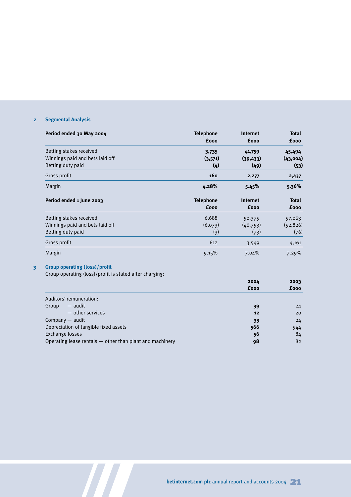## **2 Segmental Analysis**

| Period ended 30 May 2004        | <b>Telephone</b> | <b>Internet</b> | <b>Total</b> |
|---------------------------------|------------------|-----------------|--------------|
|                                 | <b>fooo</b>      | <b>fooo</b>     | <b>£000</b>  |
| Betting stakes received         | 3,735            | 41,759          | 45,494       |
| Winnings paid and bets laid off | (3,571)          | (39, 433)       | (43,004)     |
| Betting duty paid               | (4)              | (49)            | (53)         |
| Gross profit                    | 160              | 2,277           | 2,437        |
| Margin                          | 4.28%            | 5.45%           | 5.36%        |
| Period ended 1 June 2003        | <b>Telephone</b> | <b>Internet</b> | <b>Total</b> |
|                                 | <b>fooo</b>      | <b>fooo</b>     | <b>£000</b>  |
| Betting stakes received         | 6,688            | 50,375          | 57,063       |
| Winnings paid and bets laid off | (6,073)          | (46,753)        | (52, 826)    |
| Betting duty paid               | (3)              | (73)            | (76)         |
| Gross profit                    | 612              | 3,549           | 4,161        |
| Margin                          | 9.15%            | 7.04%           | 7.29%        |

## **3 Group operating (loss)/profit**

Group operating (loss)/profit is stated after charging:

Ш

|                                                            | 2004<br><b>fooo</b> | 2003        |
|------------------------------------------------------------|---------------------|-------------|
|                                                            |                     | <b>fooo</b> |
| Auditors' remuneration:                                    |                     |             |
| $-$ audit<br>Group                                         | 39                  | 41          |
| $-$ other services                                         | 12                  | 20          |
| $Company - audit$                                          | 33                  | 24          |
| Depreciation of tangible fixed assets                      | 566                 | 544         |
| Exchange losses                                            | 56                  | 84          |
| Operating lease rentals $-$ other than plant and machinery | 98                  | 82          |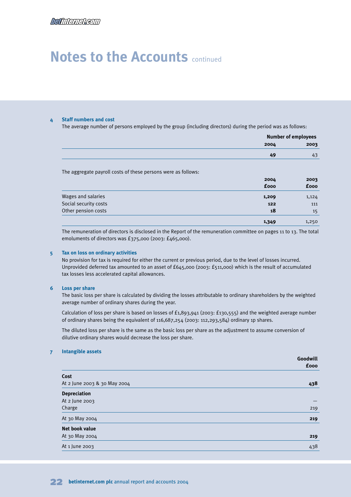# **Notes to the Accounts continued**

## **4 Staff numbers and cost**

The average number of persons employed by the group (including directors) during the period was as follows:

|                                                               | <b>Number of employees</b> |             |
|---------------------------------------------------------------|----------------------------|-------------|
|                                                               | 2004                       | 2003        |
|                                                               | 49                         | 43          |
| The aggregate payroll costs of these persons were as follows: |                            |             |
|                                                               | 2004                       | 2003        |
|                                                               | <b>fooo</b>                | <b>fooo</b> |
| Wages and salaries                                            | 1,209                      | 1,124       |
| Social security costs                                         | 122                        | 111         |
| Other pension costs                                           | 18                         | 15          |
|                                                               | 1,349                      | 1,250       |

The remuneration of directors is disclosed in the Report of the remuneration committee on pages 11 to 13. The total emoluments of directors was £375,000 (2003: £465,000).

### **5 Tax on loss on ordinary activities**

No provision for tax is required for either the current or previous period, due to the level of losses incurred. Unprovided deferred tax amounted to an asset of £645,000 (2003: £511,000) which is the result of accumulated tax losses less accelerated capital allowances.

## **6 Loss per share**

The basic loss per share is calculated by dividing the losses attributable to ordinary shareholders by the weighted average number of ordinary shares during the year.

Calculation of loss per share is based on losses of £1,893,941 (2003: £130,555) and the weighted average number of ordinary shares being the equivalent of 116,687,254 (2003: 112,293,584) ordinary 1p shares.

The diluted loss per share is the same as the basic loss per share as the adjustment to assume conversion of dilutive ordinary shares would decrease the loss per share.

## **7 Intangible assets**

|                              | Goodwill    |
|------------------------------|-------------|
|                              | <b>fooo</b> |
| Cost                         |             |
| At 2 June 2003 & 30 May 2004 | 438         |
| <b>Depreciation</b>          |             |
| At 2 June 2003               |             |
| Charge                       | 219         |
| At 30 May 2004               | 219         |
| <b>Net book value</b>        |             |
| At 30 May 2004               | 219         |
| At 1 June 2003               | 438         |
|                              |             |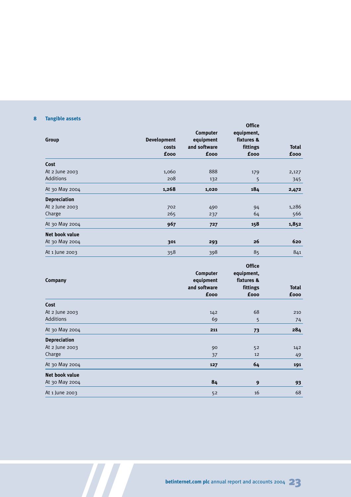## **8 Tangible assets**

|                     |                    | <b>Office</b><br><b>Computer</b><br>equipment, |             |              |  |
|---------------------|--------------------|------------------------------------------------|-------------|--------------|--|
| Group               | <b>Development</b> | equipment                                      | fixtures &  |              |  |
|                     | costs              | and software                                   | fittings    | <b>Total</b> |  |
|                     | <b>fooo</b>        | <b>£000</b>                                    | <b>fooo</b> | <b>fooo</b>  |  |
| Cost                |                    |                                                |             |              |  |
| At 2 June 2003      | 1,060              | 888                                            | 179         | 2,127        |  |
| <b>Additions</b>    | 208                | 132                                            | 5           | 345          |  |
| At 30 May 2004      | 1,268              | 1,020                                          | 184         | 2,472        |  |
| <b>Depreciation</b> |                    |                                                |             |              |  |
| At 2 June 2003      | 702                | 490                                            | 94          | 1,286        |  |
| Charge              | 265                | 237                                            | 64          | 566          |  |
| At 30 May 2004      | 967                | 727                                            | 158         | 1,852        |  |
| Net book value      |                    |                                                |             |              |  |
| At 30 May 2004      | 301                | 293                                            | 26          | 620          |  |
| At $1$ June 2003    | 358                | 398                                            | 85          | 841          |  |

| Company             | Computer<br>equipment<br>and software<br>£000 | <b>Office</b><br>equipment,<br>fixtures &<br>fittings<br>£000 | <b>Total</b><br><b>fooo</b> |
|---------------------|-----------------------------------------------|---------------------------------------------------------------|-----------------------------|
| Cost                |                                               |                                                               |                             |
| At 2 June 2003      | 142                                           | 68                                                            | 210                         |
| Additions           | 69                                            | 5                                                             | 74                          |
| At 30 May 2004      | 211                                           | 73                                                            | 284                         |
| <b>Depreciation</b> |                                               |                                                               |                             |
| At 2 June 2003      | 90                                            | 5 <sup>2</sup>                                                | 142                         |
| Charge              | 37                                            | 12                                                            | 49                          |
| At 30 May 2004      | 127                                           | 64                                                            | 191                         |
| Net book value      |                                               |                                                               |                             |
| At 30 May 2004      | 84                                            | 9                                                             | 93                          |
| At $1$ June 2003    | 5 <sup>2</sup>                                | 16                                                            | 68                          |

Ш

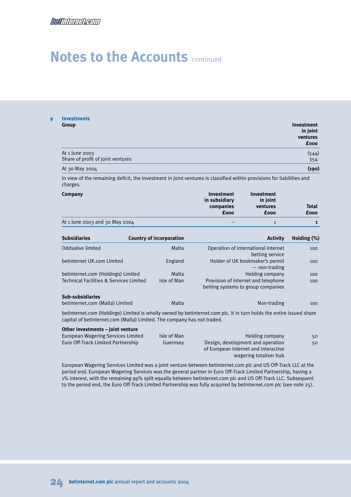# **Notes to the Accounts continued**

## **9 Investments**

| Group                             | <b>Investment</b><br>in joint<br>ventures<br>£000 |
|-----------------------------------|---------------------------------------------------|
| At 1 June 2003                    | (544)                                             |
| Share of profit of joint ventures | 354                                               |
| At 30 May 2004                    | (190)                                             |

In view of the remaining deficit, the investment in joint ventures is classified within provisions for liabilities and charges.

| Company                          | Investment<br>in subsidiary | Investment<br>in joint  |                      |
|----------------------------------|-----------------------------|-------------------------|----------------------|
|                                  | companies<br><b>£000</b>    | ventures<br><b>£000</b> | Total<br><b>fooo</b> |
| At $1$ June 2003 and 30 May 2004 | $\overline{\phantom{0}}$    |                         |                      |

| <b>Subsidiaries</b>                                 | <b>Country of incorporation</b> | <b>Activity</b>                                                           | Holding (%) |
|-----------------------------------------------------|---------------------------------|---------------------------------------------------------------------------|-------------|
| Oddsalive limited                                   | Malta                           | Operation of international internet<br>betting service                    | 100         |
| betinternet UK.com Limited                          | England                         | Holder of UK bookmaker's permit<br>- non-trading                          | 100         |
| betinternet.com (Holdings) Limited                  | Malta                           | Holding company                                                           | 100         |
| Technical Facilities & Services Limited             | Isle of Man                     | Provision of internet and telephone<br>betting systems to group companies | 100         |
| Sub-subsidiaries<br>betinternet.com (Malta) Limited | Malta                           | Non-trading                                                               | 100         |

betinternet.com (Holdings) Limited is wholly owned by betinternet.com plc. It in turn holds the entire issued share capital of betinternet.com (Malta) Limited. The company has not traded.

## **Other investments – joint venture**

| European Wagering Services Limited | Isle of Man | Holding company                      | 50 |
|------------------------------------|-------------|--------------------------------------|----|
| Euro Off-Track Limited Partnership | Guernsey    | Design, development and operation    | 50 |
|                                    |             | of European Internet and interactive |    |
|                                    |             | wagering totaliser hub               |    |

European Wagering Services Limited was a joint venture between betinternet.com plc and US Off-Track LLC at the period end. European Wagering Services was the general partner in Euro Off-Track Limited Partnership, having a 1% interest, with the remaining 99% split equally between betinternet.com plc and US Off-Track LLC. Subsequent to the period end, the Euro Off-Track Limited Partnership was fully acquired by betinternet.com plc (see note 25).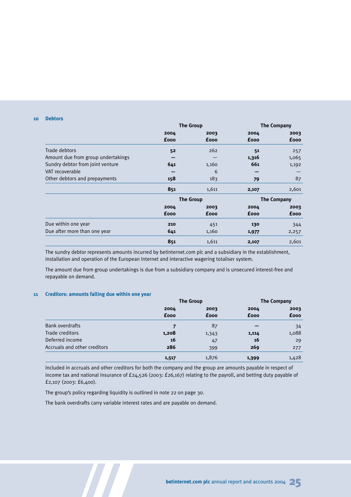#### **10 Debtors**

|                                    | <b>The Group</b>    |                     | <b>The Company</b>  |                     |
|------------------------------------|---------------------|---------------------|---------------------|---------------------|
|                                    | 2004<br><b>fooo</b> | 2003<br><b>£000</b> | 2004<br><b>£000</b> | 2003<br><b>£000</b> |
|                                    |                     |                     |                     |                     |
| Trade debtors                      | 52                  | 262                 | 51                  | 257                 |
| Amount due from group undertakings |                     |                     | 1,316               | 1,065               |
| Sundry debtor from joint venture   | 641                 | 1,160               | 661                 | 1,192               |
| VAT recoverable                    |                     | 6                   |                     |                     |
| Other debtors and prepayments      | 158                 | 183                 | 79                  | 87                  |
|                                    | 851                 | 1,611               | 2,107               | 2,601               |
|                                    |                     | <b>The Group</b>    |                     | <b>The Company</b>  |
|                                    | 2004                | 2003                | 2004                | 2003                |
|                                    | £000                | <b>£000</b>         | <b>£000</b>         | <b>£000</b>         |
| Due within one year                | 210                 | 451                 | 130                 | 344                 |
| Due after more than one year       | 641                 | 1,160               | 1,977               | 2,257               |
|                                    | 851                 | 1,611               | 2,107               | 2,601               |

The sundry debtor represents amounts incurred by betinternet.com plc and a subsidiary in the establishment, installation and operation of the European Internet and interactive wagering totaliser system.

The amount due from group undertakings is due from a subsidiary company and is unsecured interest-free and repayable on demand.

## **11 Creditors: amounts falling due within one year**

7

|                              | <b>The Group</b> |             | <b>The Company</b> |             |
|------------------------------|------------------|-------------|--------------------|-------------|
|                              | 2004             | 2003        | 2004               | 2003        |
|                              | <b>fooo</b>      | <b>fooo</b> | <b>fooo</b>        | <b>fooo</b> |
| <b>Bank overdrafts</b>       |                  | 87          |                    | 34          |
| Trade creditors              | 1,208            | 1,343       | 1,114              | 1,088       |
| Deferred income              | 16               | 47          | 16                 | 29          |
| Accruals and other creditors | 286              | 399         | 269                | 277         |
|                              | 1,517            | 1,876       | 1,399              | 1,428       |

Included in accruals and other creditors for both the company and the group are amounts payable in respect of income tax and national insurance of £24,526 (2003: £26,167) relating to the payroll, and betting duty payable of £2,107 (2003: £6,400).

The group's policy regarding liquidity is outlined in note 22 on page 30.

The bank overdrafts carry variable interest rates and are payable on demand.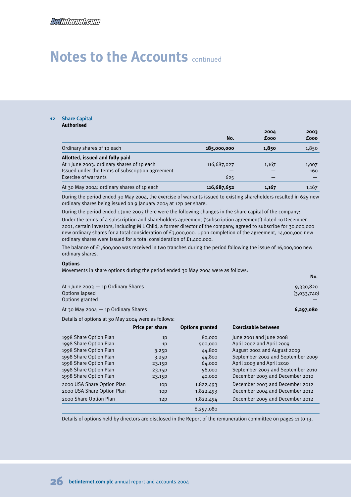# **Notes to the Accounts continued**

## **12 Share Capital Authorised**

|                                                  | No.         | 2004<br><b>£000</b> | 2003<br><b>fooo</b> |
|--------------------------------------------------|-------------|---------------------|---------------------|
| Ordinary shares of 1p each                       | 185,000,000 | 1,850               | 1,850               |
| Allotted, issued and fully paid                  |             |                     |                     |
| At 1 June 2003: ordinary shares of 1p each       | 116,687,027 | 1,167               | 1,007               |
| Issued under the terms of subscription agreement |             |                     | 160                 |
| <b>Exercise of warrants</b>                      | 625         |                     |                     |
| At 30 May 2004: ordinary shares of 1p each       | 116,687,652 | 1,167               | 1,167               |

During the period ended 30 May 2004, the exercise of warrants issued to existing shareholders resulted in 625 new ordinary shares being issued on 9 January 2004 at 12p per share.

During the period ended 1 June 2003 there were the following changes in the share capital of the company:

Under the terms of a subscription and shareholders agreement ('subscription agreement') dated 10 December 2001, certain investors, including M L Child, a former director of the company, agreed to subscribe for 30,000,000 new ordinary shares for a total consideration of £3,000,000. Upon completion of the agreement, 14,000,000 new ordinary shares were issued for a total consideration of £1,400,000.

The balance of £1,600,000 was received in two tranches during the period following the issue of 16,000,000 new ordinary shares.

## **Options**

Movements in share options during the period ended 30 May 2004 were as follows:

| At $1$ June 2003 $-$ 1p Ordinary Shares | 9,330,820   |
|-----------------------------------------|-------------|
| Options lapsed                          | (3,033,740) |
| Options granted                         |             |

**No.**

At 30 May 2004 — 1p Ordinary Shares **6,297,080**

| Details of options at 30 May 2004 were as follows: |                    |                        |                                   |
|----------------------------------------------------|--------------------|------------------------|-----------------------------------|
|                                                    | Price per share    | <b>Options granted</b> | <b>Exercisable between</b>        |
| 1998 Share Option Plan                             | 1p                 | 80,000                 | June 2001 and June 2008           |
| 1998 Share Option Plan                             | 1p                 | 500,000                | April 2002 and April 2009         |
| 1998 Share Option Plan                             | 3.25p              | 44,800                 | August 2002 and August 2009       |
| 1998 Share Option Plan                             | 3.25p              | 44,800                 | September 2002 and September 2009 |
| 1998 Share Option Plan                             | 23.15 <sub>p</sub> | 64,000                 | April 2003 and April 2010         |
| 1998 Share Option Plan                             | 23.15 <sub>p</sub> | 56,000                 | September 2003 and September 2010 |
| 1998 Share Option Plan                             | 23.15P             | 40,000                 | December 2003 and December 2010   |
| 2000 USA Share Option Plan                         | 10 <sub>p</sub>    | 1,822,493              | December 2003 and December 2012   |
| 2000 USA Share Option Plan                         | 10 <sub>p</sub>    | 1,822,493              | December 2004 and December 2012   |
| 2000 Share Option Plan                             | 12p                | 1,822,494              | December 2005 and December 2012   |
|                                                    |                    | 6,297,080              |                                   |

Details of options held by directors are disclosed in the Report of the remuneration committee on pages 11 to 13.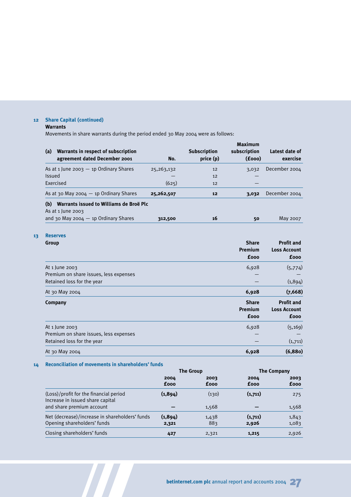## **12 Share Capital (continued)**

## **Warrants**

Movements in share warrants during the period ended 30 May 2004 were as follows:

| (a)<br>Warrants in respect of subscription<br>agreement dated December 2001 | No.        | <b>Subscription</b><br>price (p) | <b>Maximum</b><br>subscription<br>(£000) | Latest date of<br>exercise |
|-----------------------------------------------------------------------------|------------|----------------------------------|------------------------------------------|----------------------------|
| As at $1$ June 2003 $-$ 1p Ordinary Shares                                  | 25,263,132 | 12                               | 3,032                                    | December 2004              |
| <b>Issued</b>                                                               |            | 12                               |                                          |                            |
| Exercised                                                                   | (625)      | 12                               |                                          |                            |
| As at 30 May 2004 $-$ 1p Ordinary Shares                                    | 25,262,507 | 12                               | 3,032                                    | December 2004              |
| (b)<br>Warrants issued to Williams de Broë Plc                              |            |                                  |                                          |                            |
| As at $1$ June 2003                                                         |            |                                  |                                          |                            |
| and 30 May 2004 $-$ 1p Ordinary Shares                                      | 312,500    | 16                               | 50                                       | May 2007                   |

## **13 Reserves**

| Group                                  | <b>Share</b><br><b>Premium</b><br><b>fooo</b> | <b>Profit and</b><br><b>Loss Account</b><br><b>£000</b> |
|----------------------------------------|-----------------------------------------------|---------------------------------------------------------|
| At 1 June 2003                         | 6,928                                         | (5,774)                                                 |
| Premium on share issues, less expenses |                                               |                                                         |
| Retained loss for the year             |                                               | (1,894)                                                 |
| At 30 May 2004                         | 6,928                                         | (7,668)                                                 |
| Company                                | <b>Share</b>                                  | <b>Profit and</b>                                       |
|                                        | <b>Premium</b><br><b>fooo</b>                 | <b>Loss Account</b><br>£000                             |
| At 1 June 2003                         | 6,928                                         |                                                         |
| Premium on share issues, less expenses |                                               |                                                         |
| Retained loss for the year             |                                               | (5, 169)<br>(1,711)                                     |

## **14 Reconciliation of movements in shareholders' funds**

II.

|                                                                            | <b>The Group</b>    |                     | <b>The Company</b>  |                     |
|----------------------------------------------------------------------------|---------------------|---------------------|---------------------|---------------------|
|                                                                            | 2004<br><b>fooo</b> | 2003<br><b>£000</b> | 2004<br><b>fooo</b> | 2003<br><b>fooo</b> |
| (Loss)/profit for the financial period<br>Increase in issued share capital | (1,894)             | (130)               | (1,711)             | 275                 |
| and share premium account                                                  |                     | 1,568               |                     | 1,568               |
| Net (decrease)/increase in shareholders' funds                             | (1,894)             | 1,438               | (1,711)             | 1,843               |
| Opening shareholders' funds                                                | 2,321               | 883                 | 2,926               | 1,083               |
| Closing shareholders' funds                                                | 427                 | 2,321               | 1,215               | 2,926               |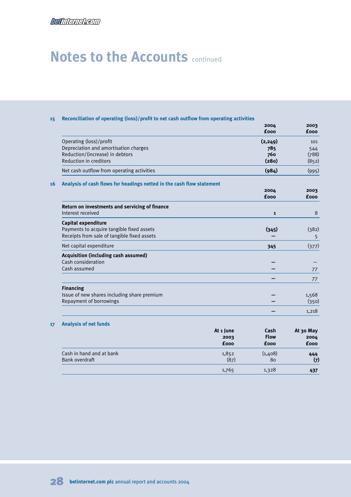# **Notes to the Accounts <b>continued**

## **15 Reconciliation of operating (loss)/profit to net cash outflow from operating activities**

|                                                                       | 2004                | 2003                |
|-----------------------------------------------------------------------|---------------------|---------------------|
|                                                                       | £000                | <b>fooo</b>         |
| Operating (loss)/profit                                               | (2, 249)            | 101                 |
| Depreciation and amortisation charges                                 | 785                 | 544                 |
| Reduction/(increase) in debtors                                       | 760                 | (788)               |
| Reduction in creditors                                                | (280)               | (852)               |
| Net cash outflow from operating activities                            | (984)               | (995)               |
| Analysis of cash flows for headings netted in the cash flow statement |                     |                     |
|                                                                       | 2004<br><b>fooo</b> | 2003<br><b>fooo</b> |
| Return on investments and servicing of finance                        |                     |                     |
| Interest received                                                     | $\mathbf{1}$        | 8                   |
| Capital expenditure                                                   |                     |                     |
| Payments to acquire tangible fixed assets                             | (345)               | (382)               |
| Receipts from sale of tangible fixed assets                           |                     | 5                   |
| Net capital expenditure                                               | 345                 | (377)               |
| Acquisition (including cash assumed)                                  |                     |                     |
| Cash consideration                                                    |                     |                     |
| Cash assumed                                                          |                     | 77                  |
|                                                                       |                     | 77                  |
| <b>Financing</b>                                                      |                     |                     |
| Issue of new shares including share premium                           |                     | 1,568               |
| Repayment of borrowings                                               |                     | (350)               |
|                                                                       |                     | 1,218               |

## **17 Analysis of net funds**

|                          | At 1 June<br>2003<br><b>fooo</b> | Cash<br><b>Flow</b><br><b>fooo</b> | At 30 May<br>2004<br><b>fooo</b> |
|--------------------------|----------------------------------|------------------------------------|----------------------------------|
| Cash in hand and at bank | 1,852                            | (1,408)                            | 444                              |
| Bank overdraft           | (87)                             | 80                                 | (7)                              |
|                          | 1,765                            | 1,328                              | 437                              |

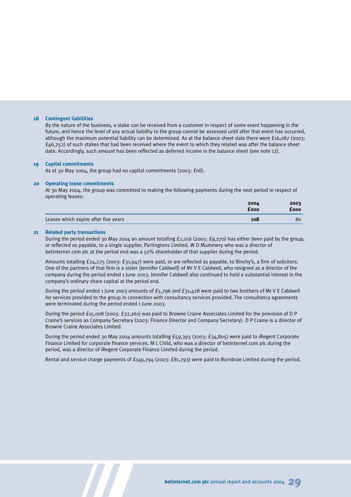### **18 Contingent liabilities**

By the nature of the business, a stake can be received from a customer in respect of some event happening in the future, and hence the level of any actual liability to the group cannot be assessed until after that event has occurred, although the maximum potential liability can be determined. As at the balance sheet date there were £16,087 (2003:  $f(46,752)$  of such stakes that had been received where the event to which they related was after the balance sheet date. Accordingly, such amount has been reflected as deferred income in the balance sheet (see note 12).

## **19 Capital commitments**

As at 30 May 2004, the group had no capital commitments (2003: £nil).

#### **20 Operating lease commitments**

At 30 May 2004, the group was committed to making the following payments during the next period in respect of operating leases:

|                                      | 2004<br><b>fooo</b> | 2003<br><b>fooo</b> |
|--------------------------------------|---------------------|---------------------|
| Leases which expire after five years | 108                 | 80                  |

## **21 Related party transactions**

During the period ended 30 May 2004 an amount totalling £2,016 (2003: £9,270) has either been paid by the group, or reflected as payable, to a single supplier, Partingtons Limited. W D Mummery who was a director of betinternet.com plc at the period end was a 50% shareholder of that supplier during the period.

Amounts totalling £24,275 (2003: £31,947) were paid, or are reflected as payable, to Binchy's, a firm of solicitors. One of the partners of that firm is a sister (Jennifer Caldwell) of Mr V E Caldwell, who resigned as a director of the company during the period ended 1 June 2003. Jennifer Caldwell also continued to hold a substantial interest in the company's ordinary share capital at the period end.

During the period ended 1 June 2003 amounts of £5,796 and £31,428 were paid to two brothers of Mr V E Caldwell for services provided to the group in connection with consultancy services provided. The consultancy agreements were terminated during the period ended 1 June 2003.

During the period £15,008 (2003: £32,261) was paid to Browne Craine Associates Limited for the provision of D P Craine's services as Company Secretary (2003: Finance Director and Company Secretary). D P Craine is a director of Browne Craine Associates Limited.

During the period ended 30 May 2004 amounts totalling £59,393 (2003: £34,805) were paid to iRegent Corporate Finance Limited for corporate finance services. M L Child, who was a director of betinternet.com plc during the period, was a director of iRegent Corporate Finance Limited during the period.

Rental and service charge payments of £149,794 (2003: £81,793) were paid to Burnbrae Limited during the period.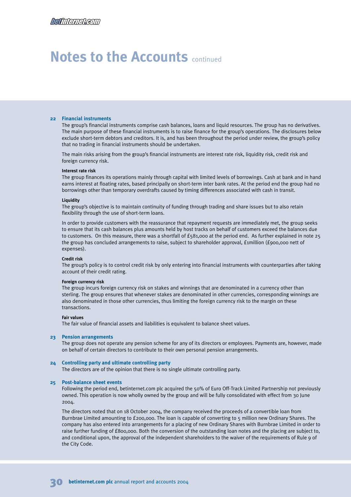# **Notes to the Accounts continued**

## **22 Financial instruments**

The group's financial instruments comprise cash balances, loans and liquid resources. The group has no derivatives. The main purpose of these financial instruments is to raise finance for the group's operations. The disclosures below exclude short-term debtors and creditors. It is, and has been throughout the period under review, the group's policy that no trading in financial instruments should be undertaken.

The main risks arising from the group's financial instruments are interest rate risk, liquidity risk, credit risk and foreign currency risk.

#### **Interest rate risk**

The group finances its operations mainly through capital with limited levels of borrowings. Cash at bank and in hand earns interest at floating rates, based principally on short-term inter bank rates. At the period end the group had no borrowings other than temporary overdrafts caused by timing differences associated with cash in transit.

#### **Liquidity**

The group's objective is to maintain continuity of funding through trading and share issues but to also retain flexibility through the use of short-term loans.

In order to provide customers with the reassurance that repayment requests are immediately met, the group seeks to ensure that its cash balances plus amounts held by host tracks on behalf of customers exceed the balances due to customers. On this measure, there was a shortfall of £581,000 at the period end. As further explained in note 25 the group has concluded arrangements to raise, subject to shareholder approval, £1million (£900,000 nett of expenses).

### **Credit risk**

The group's policy is to control credit risk by only entering into financial instruments with counterparties after taking account of their credit rating.

### **Foreign currency risk**

The group incurs foreign currency risk on stakes and winnings that are denominated in a currency other than sterling. The group ensures that whenever stakes are denominated in other currencies, corresponding winnings are also denominated in those other currencies, thus limiting the foreign currency risk to the margin on these transactions.

#### **Fair values**

The fair value of financial assets and liabilities is equivalent to balance sheet values.

## **23 Pension arrangements**

The group does not operate any pension scheme for any of its directors or employees. Payments are, however, made on behalf of certain directors to contribute to their own personal pension arrangements.

#### **24 Controlling party and ultimate controlling party**

The directors are of the opinion that there is no single ultimate controlling party.

## **25 Post-balance sheet events**

Following the period end, betinternet.com plc acquired the 50% of Euro Off-Track Limited Partnership not previously owned. This operation is now wholly owned by the group and will be fully consolidated with effect from 30 June 2004.

The directors noted that on 18 October 2004, the company received the proceeds of a convertible loan from Burnbrae Limited amounting to £200,000. The loan is capable of converting to 5 million new Ordinary Shares. The company has also entered into arrangements for a placing of new Ordinary Shares with Burnbrae Limited in order to raise further funding of £800,000. Both the conversion of the outstanding loan notes and the placing are subject to, and conditional upon, the approval of the independent shareholders to the waiver of the requirements of Rule 9 of the City Code.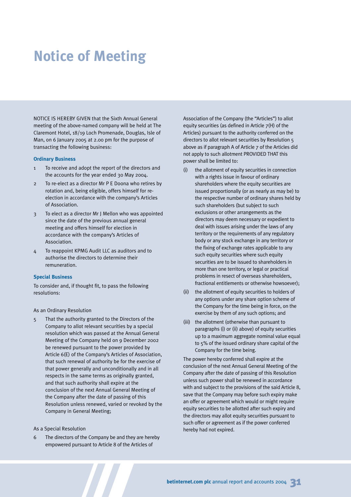# **Notice of Meeting**

NOTICE IS HEREBY GIVEN that the Sixth Annual General meeting of the above-named company will be held at The Claremont Hotel, 18/19 Loch Promenade, Douglas, Isle of Man, on 6 January 2005 at 2.00 pm for the purpose of transacting the following business:

## **Ordinary Business**

- 1 To receive and adopt the report of the directors and the accounts for the year ended 30 May 2004.
- 2 To re-elect as a director Mr P E Doona who retires by rotation and, being eligible, offers himself for reelection in accordance with the company's Articles of Association.
- 3 To elect as a director Mr J Mellon who was appointed since the date of the previous annual general meeting and offers himself for election in accordance with the company's Articles of Association.
- 4 To reappoint KPMG Audit LLC as auditors and to authorise the directors to determine their remuneration.

## **Special Business**

To consider and, if thought fit, to pass the following resolutions:

## As an Ordinary Resolution

5 That the authority granted to the Directors of the Company to allot relevant securities by a special resolution which was passed at the Annual General Meeting of the Company held on 9 December 2002 be renewed pursuant to the power provided by Article 6(E) of the Company's Articles of Association, that such renewal of authority be for the exercise of that power generally and unconditionally and in all respects in the same terms as originally granted, and that such authority shall expire at the conclusion of the next Annual General Meeting of the Company after the date of passing of this Resolution unless renewed, varied or revoked by the Company in General Meeting;

## As a Special Resolution

6 The directors of the Company be and they are hereby empowered pursuant to Article 8 of the Articles of

Association of the Company (the "Articles") to allot equity securities (as defined in Article  $7(H)$  of the Articles) pursuant to the authority conferred on the directors to allot relevant securities by Resolution 5 above as if paragraph A of Article 7 of the Articles did not apply to such allotment PROVIDED THAT this power shall be limited to:

- (i) the allotment of equity securities in connection with a rights issue in favour of ordinary shareholders where the equity securities are issued proportionally (or as nearly as may be) to the respective number of ordinary shares held by such shareholders (but subject to such exclusions or other arrangements as the directors may deem necessary or expedient to deal with issues arising under the laws of any territory or the requirements of any regulatory body or any stock exchange in any territory or the fixing of exchange rates applicable to any such equity securities where such equity securities are to be issued to shareholders in more than one territory, or legal or practical problems in resect of overseas shareholders, fractional entitlements or otherwise howsoever);
- (ii) the allotment of equity securities to holders of any options under any share option scheme of the Company for the time being in force, on the exercise by them of any such options; and
- (iii) the allotment (otherwise than pursuant to paragraphs (i) or (ii) above) of equity securities up to a maximum aggregate nominal value equal to 5% of the issued ordinary share capital of the Company for the time being.

The power hereby conferred shall expire at the conclusion of the next Annual General Meeting of the Company after the date of passing of this Resolution unless such power shall be renewed in accordance with and subject to the provisions of the said Article 8, save that the Company may before such expiry make an offer or agreement which would or might require equity securities to be allotted after such expiry and the directors may allot equity securities pursuant to such offer or agreement as if the power conferred hereby had not expired.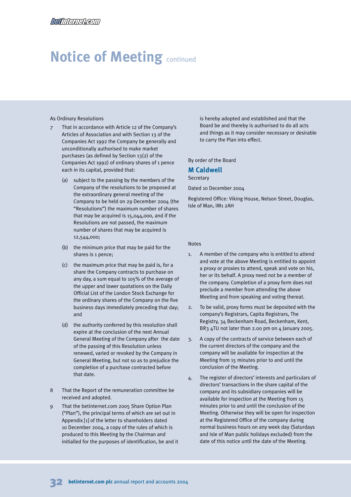# **Notice of Meeting Continued**

## As Ordinary Resolutions

- 7 That in accordance with Article 12 of the Company's Articles of Association and with Section 13 of the Companies Act 1992 the Company be generally and unconditionally authorised to make market purchases (as defined by Section 13(2) of the Companies Act 1992) of ordinary shares of 1 pence each in its capital, provided that:
	- (a) subject to the passing by the members of the Company of the resolutions to be proposed at the extraordinary general meeting of the Company to be held on 29 December 2004 (the "Resolutions") the maximum number of shares that may be acquired is 15,044,000, and if the Resolutions are not passed, the maximum number of shares that may be acquired is 12,544,000;
	- (b) the minimum price that may be paid for the shares is 1 pence;
	- (c) the maximum price that may be paid is, for a share the Company contracts to purchase on any day, a sum equal to 105% of the average of the upper and lower quotations on the Daily Official List of the London Stock Exchange for the ordinary shares of the Company on the five business days immediately preceding that day; and
	- (d) the authority conferred by this resolution shall expire at the conclusion of the next Annual General Meeting of the Company after the date of the passing of this Resolution unless renewed, varied or revoked by the Company in General Meeting, but not so as to prejudice the completion of a purchase contracted before that date.
- 8 That the Report of the remuneration committee be received and adopted.
- 9 That the betinternet.com 2005 Share Option Plan ("Plan"), the principal terms of which are set out in Appendix [1] of the letter to shareholders dated 10 December 2004, a copy of the rules of which is produced to this Meeting by the Chairman and initialled for the purposes of identification, be and it

is hereby adopted and established and that the Board be and thereby is authorised to do all acts and things as it may consider necessary or desirable to carry the Plan into effect.

By order of the Board

## **M Caldwell** Secretary

Dated 10 December 2004

Registered Office: Viking House, Nelson Street, Douglas, Isle of Man, IM1 2AH

Notes

- 1. A member of the company who is entitled to attend and vote at the above Meeting is entitled to appoint a proxy or proxies to attend, speak and vote on his, her or its behalf. A proxy need not be a member of the company. Completion of a proxy form does not preclude a member from attending the above Meeting and from speaking and voting thereat.
- 2. To be valid, proxy forms must be deposited with the company's Registrars, Capita Registrars, The Registry, 34 Beckenham Road, Beckenham, Kent, BR3 4TU not later than 2.00 pm on 4 January 2005.
- 3. A copy of the contracts of service between each of the current directors of the company and the company will be available for inspection at the Meeting from 15 minutes prior to and until the conclusion of the Meeting.
- 4. The register of directors' interests and particulars of directors' transactions in the share capital of the company and its subsidiary companies will be available for inspection at the Meeting from 15 minutes prior to and until the conclusion of the Meeting. Otherwise they will be open for inspection at the Registered Office of the company during normal business hours on any week day (Saturdays and Isle of Man public holidays excluded) from the date of this notice until the date of the Meeting.